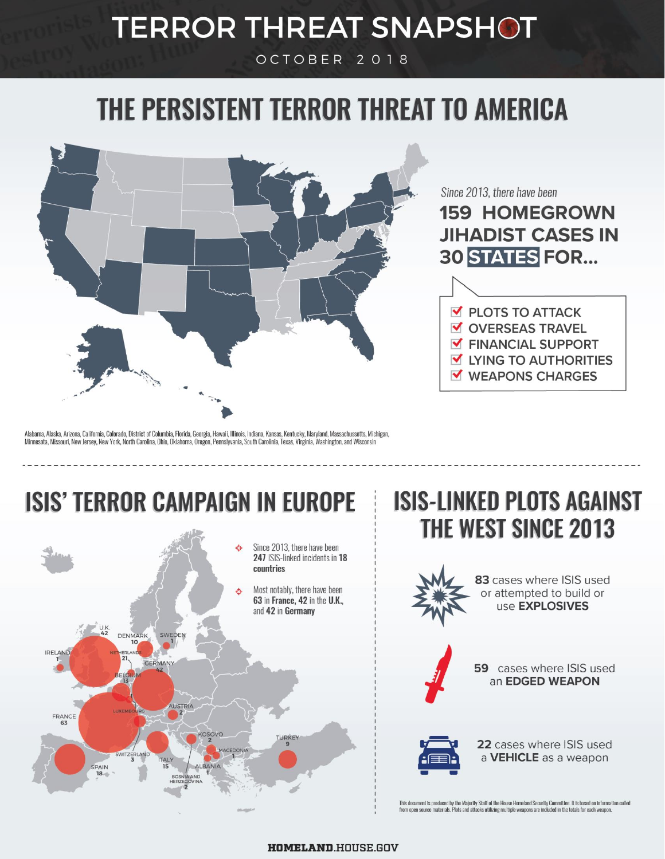# **TERROR THREAT SNAPSHOT**

OCTOBER 2018

# THE PERSISTENT TERROR THREAT TO AMERICA



Since 2013, there have been

### **159 HOMEGROWN JIHADIST CASES IN 30 STATES FOR...**



Alabama, Alaska, Arizona, California, Colorado, District of Columbia, Florida, Georgia, Hawaii, Illinois, Indiana, Kansas, Kentucky, Maryland, Massachussetts, Michigan, Minnesota, Missouri, New Jersey, New York, North Carolina, Ohio, Oklahoma, Oregon, Pennslyvania, South Carolinia, Texas, Virginia, Washington, and Wisconsin

## **ISIS' TERROR CAMPAIGN IN EUROPE**



### **ISIS-LINKED PLOTS AGAINST THE WEST SINCE 2013**



This document is produced by the Majority Staff of the House Homeland Security Committee. It is based on information culled from open source materials. Plots and attacks utilizing multiple weapons are included in the totals for each weapon.

#### **HOMELAND.HOUSE.GOV**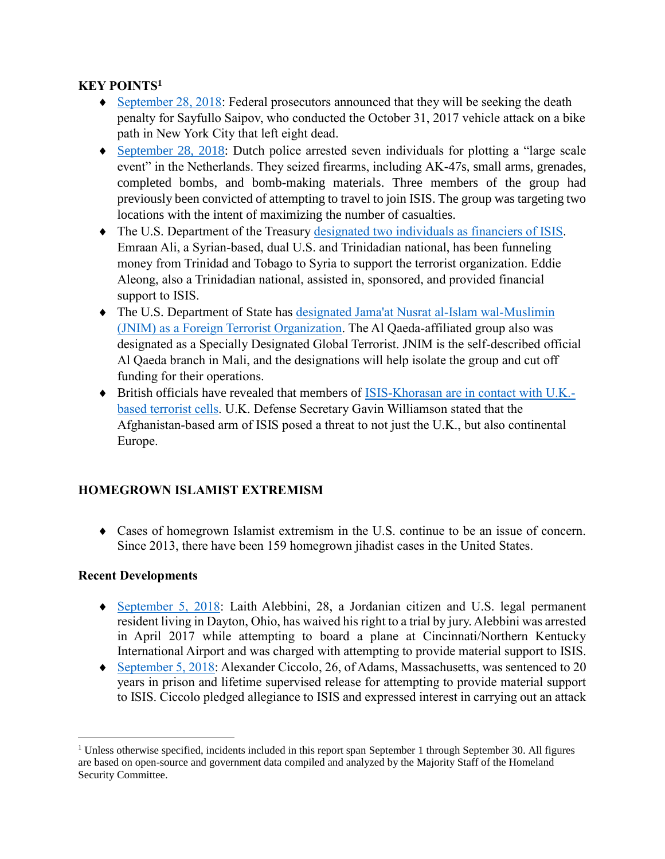#### **KEY POINTS<sup>1</sup>**

- [September 28, 2018:](https://www.nytimes.com/2018/09/28/nyregion/sayfullo-saipov-death-penalty.html) Federal prosecutors announced that they will be seeking the death penalty for Sayfullo Saipov, who conducted the October 31, 2017 vehicle attack on a bike path in New York City that left eight dead.
- [September 28, 2018:](https://www.npr.org/2018/09/28/652476058/police-in-netherlands-arrest-7-suspected-in-terrorist-plot-to-attack-large-event) Dutch police arrested seven individuals for plotting a "large scale event" in the Netherlands. They seized firearms, including AK-47s, small arms, grenades, completed bombs, and bomb-making materials. Three members of the group had previously been convicted of attempting to travel to join ISIS. The group was targeting two locations with the intent of maximizing the number of casualties.
- The U.S. Department of the Treasury [designated two individuals as financiers of ISIS.](https://home.treasury.gov/news/press-releases/sm489) Emraan Ali, a Syrian-based, dual U.S. and Trinidadian national, has been funneling money from Trinidad and Tobago to Syria to support the terrorist organization. Eddie Aleong, also a Trinidadian national, assisted in, sponsored, and provided financial support to ISIS.
- The U.S. Department of State has designated Jama'at Nusrat al-Islam wal-Muslimin [\(JNIM\) as a Foreign Terrorist Organization.](https://www.state.gov/r/pa/prs/ps/2018/09/285705.htm) The Al Qaeda-affiliated group also was designated as a Specially Designated Global Terrorist. JNIM is the self-described official Al Qaeda branch in Mali, and the designations will help isolate the group and cut off funding for their operations.
- Fitish officials have revealed that members of [ISIS-Khorasan are in contact with U.K.](https://news.sky.com/story/islamic-state-fighters-in-afghanistan-in-touch-with-uk-cells-11489142) [based terrorist cells.](https://news.sky.com/story/islamic-state-fighters-in-afghanistan-in-touch-with-uk-cells-11489142) U.K. Defense Secretary Gavin Williamson stated that the Afghanistan-based arm of ISIS posed a threat to not just the U.K., but also continental Europe.

#### **HOMEGROWN ISLAMIST EXTREMISM**

 Cases of homegrown Islamist extremism in the U.S. continue to be an issue of concern. Since 2013, there have been 159 homegrown jihadist cases in the United States.

#### **Recent Developments**

 $\overline{\phantom{a}}$ 

- [September 5, 2018:](https://www.daytondailynews.com/news/crime--law/dayton-man-accused-trying-join-isis-waives-jury-trial/0mwkm69qkUgWtV4gK9c4jP/) Laith Alebbini, 28, a Jordanian citizen and U.S. legal permanent resident living in Dayton, Ohio, has waived his right to a trial by jury. Alebbini was arrested in April 2017 while attempting to board a plane at Cincinnati/Northern Kentucky International Airport and was charged with attempting to provide material support to ISIS.
- ◆ [September 5, 2018:](https://www.justice.gov/opa/pr/massachusetts-man-inspired-isis-sentenced-plotting-engage-terrorist-activity) Alexander Ciccolo, 26, of Adams, Massachusetts, was sentenced to 20 years in prison and lifetime supervised release for attempting to provide material support to ISIS. Ciccolo pledged allegiance to ISIS and expressed interest in carrying out an attack

<sup>&</sup>lt;sup>1</sup> Unless otherwise specified, incidents included in this report span September 1 through September 30. All figures are based on open-source and government data compiled and analyzed by the Majority Staff of the Homeland Security Committee.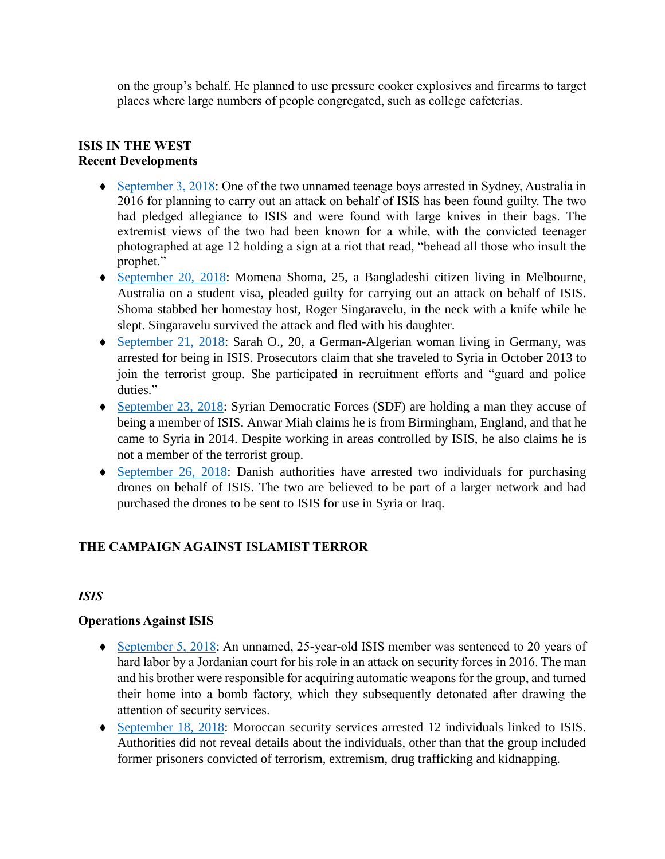on the group's behalf. He planned to use pressure cooker explosives and firearms to target places where large numbers of people congregated, such as college cafeterias.

#### **ISIS IN THE WEST Recent Developments**

- $\blacklozenge$  [September 3, 2018:](https://www.9news.com.au/2018/09/03/14/50/teen-arrested-with-bayonet-found-guilty-of-terror-attack) One of the two unnamed teenage boys arrested in Sydney, Australia in 2016 for planning to carry out an attack on behalf of ISIS has been found guilty. The two had pledged allegiance to ISIS and were found with large knives in their bags. The extremist views of the two had been known for a while, with the convicted teenager photographed at age 12 holding a sign at a riot that read, "behead all those who insult the prophet."
- [September 20, 2018:](https://www.news.com.au/national/victoria/courts-law/student-admits-melbourne-terrorist-act/news-story/d15d47b56553f97c4bdd64376be65c36) Momena Shoma, 25, a Bangladeshi citizen living in Melbourne, Australia on a student visa, pleaded guilty for carrying out an attack on behalf of ISIS. Shoma stabbed her homestay host, Roger Singaravelu, in the neck with a knife while he slept. Singaravelu survived the attack and fled with his daughter.
- [September 21, 2018:](https://apnews.com/e168796dd675471089520e223a9bda7d) Sarah O., 20, a German-Algerian woman living in Germany, was arrested for being in ISIS. Prosecutors claim that she traveled to Syria in October 2013 to join the terrorist group. She participated in recruitment efforts and "guard and police duties."
- [September 23, 2018:](https://www.theguardian.com/uk-news/2018/sep/23/birmingham-pharmacist-held-in-syria-on-suspected-isis-links) Syrian Democratic Forces (SDF) are holding a man they accuse of being a member of ISIS. Anwar Miah claims he is from Birmingham, England, and that he came to Syria in 2014. Despite working in areas controlled by ISIS, he also claims he is not a member of the terrorist group.
- [September 26, 2018:](https://abcnews.go.com/International/wireStory/held-denmark-suspected-buying-drones-58089222) Danish authorities have arrested two individuals for purchasing drones on behalf of ISIS. The two are believed to be part of a larger network and had purchased the drones to be sent to ISIS for use in Syria or Iraq.

#### **THE CAMPAIGN AGAINST ISLAMIST TERROR**

#### *ISIS*

#### **Operations Against ISIS**

- [September 5, 2018:](http://www.dailystar.com.lb/News/Middle-East/2018/Sep-05/462466-jordan-court-sentences-daesh-member-to-20-years.ashx) An unnamed, 25-year-old ISIS member was sentenced to 20 years of hard labor by a Jordanian court for his role in an attack on security forces in 2016. The man and his brother were responsible for acquiring automatic weapons for the group, and turned their home into a bomb factory, which they subsequently detonated after drawing the attention of security services.
- [September 18, 2018:](https://www.moroccoworldnews.com/2018/09/253670/moroccos-bcij-arrests-12-suspects-linked-to-terror-criminal-networks/) Moroccan security services arrested 12 individuals linked to ISIS. Authorities did not reveal details about the individuals, other than that the group included former prisoners convicted of terrorism, extremism, drug trafficking and kidnapping.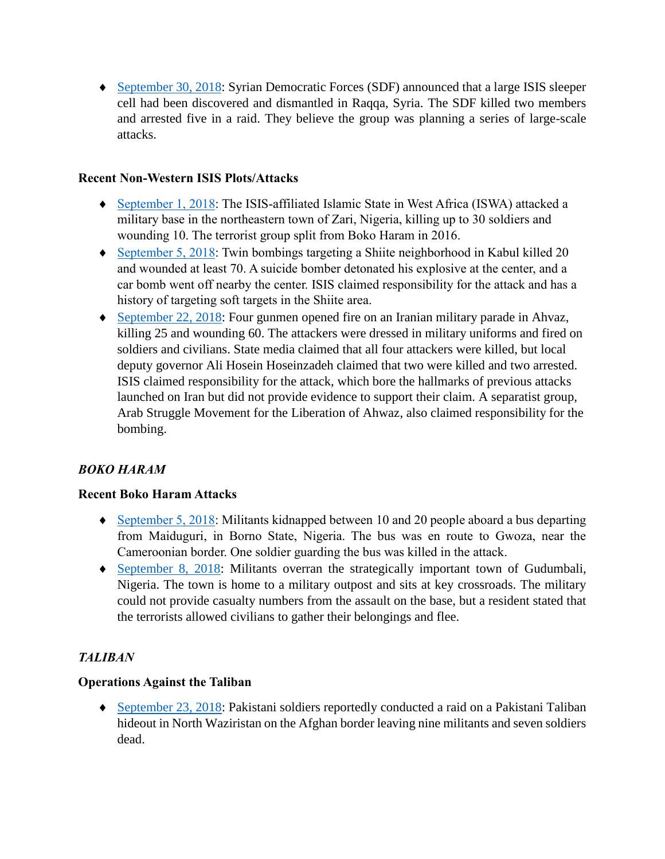[September 30, 2018:](https://www.reuters.com/article/us-mideast-crisis-syria-raqqa/security-services-in-syrias-raqqa-uncover-islamic-state-cell-idUSKCN1MA0FG) Syrian Democratic Forces (SDF) announced that a large ISIS sleeper cell had been discovered and dismantled in Raqqa, Syria. The SDF killed two members and arrested five in a raid. They believe the group was planning a series of large-scale attacks.

#### **Recent Non-Western ISIS Plots/Attacks**

- [September 1, 2018:](https://www.reuters.com/article/us-nigeria-security/islamists-in-northeast-nigeria-kill-up-to-30-soldiers-sources-idUSKCN1LH3U1) The ISIS-affiliated Islamic State in West Africa (ISWA) attacked a military base in the northeastern town of Zari, Nigeria, killing up to 30 soldiers and wounding 10. The terrorist group split from Boko Haram in 2016.
- [September 5, 2018:](https://www.cbsnews.com/news/kabul-afghanistan-suicide-attack-sports-hall-shiite-dasht-e-barchi-area-isis/) Twin bombings targeting a Shiite neighborhood in Kabul killed 20 and wounded at least 70. A suicide bomber detonated his explosive at the center, and a car bomb went off nearby the center. ISIS claimed responsibility for the attack and has a history of targeting soft targets in the Shiite area.
- [September 22, 2018:](https://www.bbc.com/news/world-middle-east-45611411) Four gunmen opened fire on an Iranian military parade in Ahvaz, killing 25 and wounding 60. The attackers were dressed in military uniforms and fired on soldiers and civilians. State media claimed that all four attackers were killed, but local deputy governor Ali Hosein Hoseinzadeh claimed that two were killed and two arrested. ISIS claimed responsibility for the attack, which bore the hallmarks of previous attacks launched on Iran but did not provide evidence to support their claim. A separatist group, Arab Struggle Movement for the Liberation of Ahwaz, also claimed responsibility for the bombing.

#### *BOKO HARAM*

#### **Recent Boko Haram Attacks**

- $\bullet$  [September 5, 2018:](https://www.reuters.com/article/us-nigeria-security/suspected-boko-haram-militants-kidnap-at-least-10-people-in-northeast-nigeria-idUSKCN1LL2OF) Militants kidnapped between 10 and 20 people aboard a bus departing from Maiduguri, in Borno State, Nigeria. The bus was en route to Gwoza, near the Cameroonian border. One soldier guarding the bus was killed in the attack.
- [September 8, 2018:](https://apnews.com/9f8b6e8b7f5041069422894afc7c2d18) Militants overran the strategically important town of Gudumbali, Nigeria. The town is home to a military outpost and sits at key crossroads. The military could not provide casualty numbers from the assault on the base, but a resident stated that the terrorists allowed civilians to gather their belongings and flee.

#### *TALIBAN*

#### **Operations Against the Taliban**

◆ [September 23, 2018:](https://www.rferl.org/a/pakistan-afghanistan-border-firefight-waziristan/29504251.html) Pakistani soldiers reportedly conducted a raid on a Pakistani Taliban hideout in North Waziristan on the Afghan border leaving nine militants and seven soldiers dead.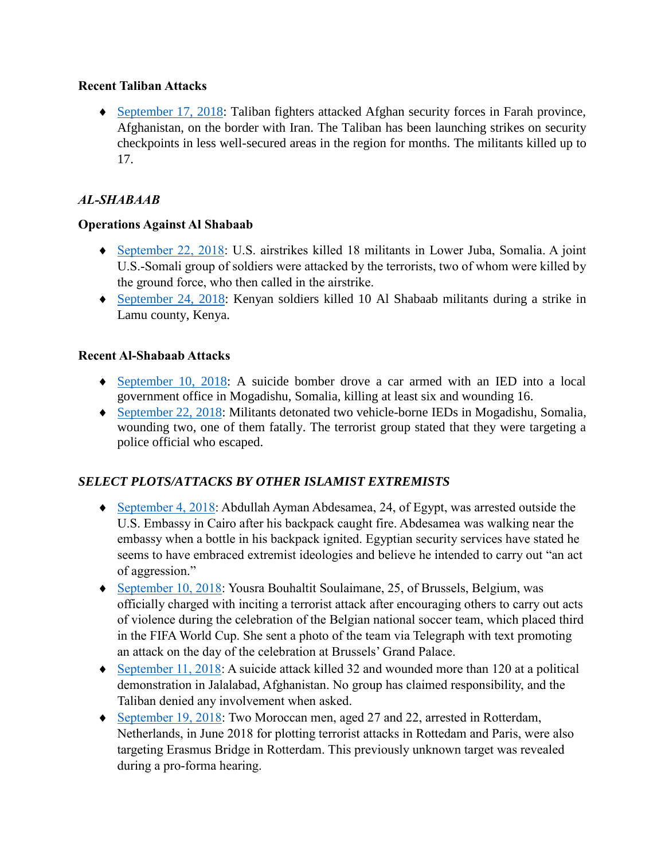#### **Recent Taliban Attacks**

 [September 17, 2018:](https://www.reuters.com/article/us-afghanistan-taliban/up-to-17-afghan-security-forces-killed-in-west-of-country-officials-idUSKCN1LX22I) Taliban fighters attacked Afghan security forces in Farah province, Afghanistan, on the border with Iran. The Taliban has been launching strikes on security checkpoints in less well-secured areas in the region for months. The militants killed up to 17.

#### *AL-SHABAAB*

#### **Operations Against Al Shabaab**

- [September 22, 2018:](https://www.reuters.com/article/us-usa-somalia-airstrike/u-s-military-says-u-s-airstrike-kills-an-estimated-18-somali-militants-idUSKCN1M20O6) U.S. airstrikes killed 18 militants in Lower Juba, Somalia. A joint U.S.-Somali group of soldiers were attacked by the terrorists, two of whom were killed by the ground force, who then called in the airstrike.
- [September 24, 2018:](https://www.reuters.com/article/us-kenya-security/kenyan-troops-kill-10-al-shabaab-fighters-army-idUSKCN1M415Q) Kenyan soldiers killed 10 Al Shabaab militants during a strike in Lamu county, Kenya.

#### **Recent Al-Shabaab Attacks**

- [September 10, 2018:](https://www.reuters.com/article/us-somalia-security/suicide-car-bomb-kills-at-least-six-in-somali-capital-idUSKCN1LQ0OU) A suicide bomber drove a car armed with an IED into a local government office in Mogadishu, Somalia, killing at least six and wounding 16.
- [September 22, 2018:](https://www.reuters.com/article/us-somalia-security/two-car-bombs-explode-in-somali-capital-one-dies-idUSKCN1M20PR) Militants detonated two vehicle-borne IEDs in Mogadishu, Somalia, wounding two, one of them fatally. The terrorist group stated that they were targeting a police official who escaped.

#### *SELECT PLOTS/ATTACKS BY OTHER ISLAMIST EXTREMISTS*

- [September 4, 2018:](https://www.reuters.com/article/us-egypt-security/man-held-after-backpack-fire-near-u-s-embassy-in-cairo-statement-idUSKCN1LK1DF) Abdullah Ayman Abdesamea, 24, of Egypt, was arrested outside the U.S. Embassy in Cairo after his backpack caught fire. Abdesamea was walking near the embassy when a bottle in his backpack ignited. Egyptian security services have stated he seems to have embraced extremist ideologies and believe he intended to carry out "an act of aggression."
- [September 10, 2018:](http://www.espn.com/soccer/belgium/story/3629147/woman-jailed-for-inciting-attack-on-belgium-squad-after-world-cup) Yousra Bouhaltit Soulaimane, 25, of Brussels, Belgium, was officially charged with inciting a terrorist attack after encouraging others to carry out acts of violence during the celebration of the Belgian national soccer team, which placed third in the FIFA World Cup. She sent a photo of the team via Telegraph with text promoting an attack on the day of the celebration at Brussels' Grand Palace.
- ◆ [September 11, 2018:](https://www.reuters.com/article/us-afghanistan-security/dozens-killed-and-injured-in-suicide-attack-at-afghan-protest-idUSKCN1LR0W9) A suicide attack killed 32 and wounded more than 120 at a political demonstration in Jalalabad, Afghanistan. No group has claimed responsibility, and the Taliban denied any involvement when asked.
- ◆ [September 19, 2018:](https://nltimes.nl/2018/09/19/rotterdam-terror-suspects-also-made-footage-erasmusbrug) Two Moroccan men, aged 27 and 22, arrested in Rotterdam, Netherlands, in June 2018 for plotting terrorist attacks in Rottedam and Paris, were also targeting Erasmus Bridge in Rotterdam. This previously unknown target was revealed during a pro-forma hearing.